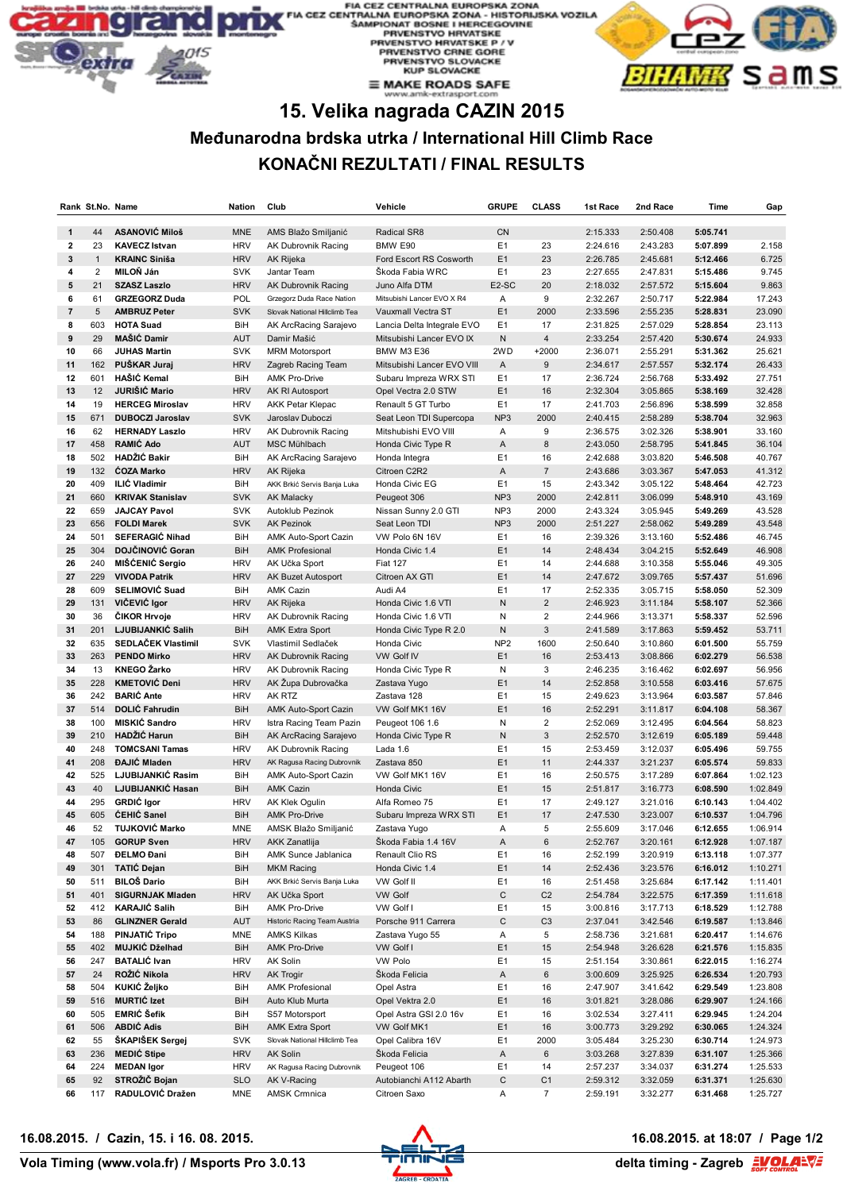#### **JROPSKA ZONA** ZONA - HISTORIJSKA VOZILA HERCEGOVINE **PRVENSTVO HRVATSKE PHYENSTYO HRYATSKE P / V<br>RIVENSTYO CRNE GORE<br>PRVENSTYO SLOVACKE<br>KUP SLOVACKE**  $\equiv$  MAKE ROADS SAFE



# **15. Velika nagrada CAZIN 2015**

## **Međunarodna brdska utrka / International Hill Climb Race KONAČNI REZULTATI / FINAL RESULTS**

|                   | Rank St.No. Name  |                                          | <b>Nation</b>            | Club                                      | Vehicle                                    | <b>GRUPE</b>         | <b>CLASS</b>   | 1st Race             | 2nd Race             | Time                 | Gap                  |
|-------------------|-------------------|------------------------------------------|--------------------------|-------------------------------------------|--------------------------------------------|----------------------|----------------|----------------------|----------------------|----------------------|----------------------|
|                   |                   |                                          |                          |                                           |                                            |                      |                |                      |                      |                      |                      |
| 1                 | 44                | <b>ASANOVIĆ Miloš</b>                    | <b>MNE</b>               | AMS Blažo Smiljanić                       | Radical SR8                                | <b>CN</b>            |                | 2:15.333             | 2:50.408             | 5:05.741             |                      |
| $\mathbf{2}$      | 23                | <b>KAVECZ Istvan</b>                     | <b>HRV</b>               | AK Dubrovnik Racing                       | BMW E90                                    | E <sub>1</sub>       | 23             | 2:24.616             | 2:43.283             | 5:07.899             | 2.158                |
| $\mathbf{3}$<br>4 | $\mathbf{1}$<br>2 | <b>KRAINC Siniša</b><br>MILOŇ Ján        | <b>HRV</b><br><b>SVK</b> | AK Rijeka<br>Jantar Team                  | Ford Escort RS Cosworth<br>Škoda Fabia WRC | E1<br>E <sub>1</sub> | 23<br>23       | 2:26.785<br>2:27.655 | 2:45.681<br>2:47.831 | 5:12.466<br>5:15.486 | 6.725<br>9.745       |
| 5                 | 21                | <b>SZASZ Laszlo</b>                      | <b>HRV</b>               | <b>AK Dubrovnik Racing</b>                | Juno Alfa DTM                              | E2-SC                | 20             | 2:18.032             | 2:57.572             | 5:15.604             | 9.863                |
| 6                 | 61                | <b>GRZEGORZ Duda</b>                     | POL                      | Grzegorz Duda Race Nation                 | Mitsubishi Lancer EVO X R4                 | Α                    | 9              | 2:32.267             | 2:50.717             | 5:22.984             | 17.243               |
| $\overline{7}$    | 5                 | <b>AMBRUZ Peter</b>                      | <b>SVK</b>               | Slovak National Hillclimb Tea             | Vauxmall Vectra ST                         | E1                   | 2000           | 2:33.596             | 2:55.235             | 5:28.831             | 23.090               |
| 8                 | 603               | <b>HOTA Suad</b>                         | BiH                      | AK ArcRacing Sarajevo                     | Lancia Delta Integrale EVO                 | E <sub>1</sub>       | 17             | 2:31.825             | 2:57.029             | 5:28.854             | 23.113               |
| 9                 | 29                | <b>MAŠIĆ Damir</b>                       | <b>AUT</b>               | Damir Mašić                               | Mitsubishi Lancer EVO IX                   | N                    | $\sqrt{4}$     | 2:33.254             | 2:57.420             | 5:30.674             | 24.933               |
| 10                | 66                | <b>JUHAS Martin</b>                      | <b>SVK</b>               | <b>MRM Motorsport</b>                     | <b>BMW M3 E36</b>                          | 2WD                  | $+2000$        | 2:36.071             | 2:55.291             | 5:31.362             | 25.621               |
| 11                | 162               | PUŠKAR Juraj                             | <b>HRV</b>               | Zagreb Racing Team                        | Mitsubishi Lancer EVO VIII                 | Α                    | $9\,$          | 2:34.617             | 2:57.557             | 5:32.174             | 26.433               |
| 12                | 601               | HAŠIĆ Kemal                              | BiH                      | <b>AMK Pro-Drive</b>                      | Subaru Impreza WRX STI                     | E1                   | 17             | 2:36.724             | 2:56.768             | 5:33.492             | 27.751               |
| 13                | 12                | JURIŠIĆ Mario                            | <b>HRV</b>               | AK RI Autosport                           | Opel Vectra 2.0 STW                        | E1                   | 16             | 2:32.304             | 3:05.865             | 5:38.169             | 32.428               |
| 14                | 19                | <b>HERCEG Miroslav</b>                   | <b>HRV</b>               | <b>AKK Petar Klepac</b>                   | Renault 5 GT Turbo                         | E1                   | 17             | 2:41.703             | 2:56.896             | 5:38.599             | 32.858               |
| 15                | 671               | <b>DUBOCZI Jaroslav</b>                  | <b>SVK</b>               | Jaroslav Duboczi                          | Seat Leon TDI Supercopa                    | NP <sub>3</sub>      | 2000           | 2:40.415             | 2:58.289             | 5:38.704             | 32.963               |
| 16                | 62                | <b>HERNADY Laszlo</b>                    | <b>HRV</b>               | AK Dubrovnik Racing                       | Mitshubishi EVO VIII                       | Α                    | 9              | 2:36.575             | 3:02.326             | 5:38.901             | 33.160               |
| 17                | 458               | <b>RAMIĆ Ado</b>                         | <b>AUT</b>               | MSC Mühlbach                              | Honda Civic Type R                         | A                    | 8              | 2:43.050             | 2:58.795             | 5:41.845             | 36.104               |
| 18                | 502               | HADŽIĆ Bakir                             | BiH                      | AK ArcRacing Sarajevo                     | Honda Integra                              | E1                   | 16             | 2:42.688             | 3:03.820             | 5:46.508             | 40.767               |
| 19                | 132               | <b>COZA Marko</b>                        | <b>HRV</b>               | AK Rijeka                                 | Citroen C2R2                               | Α                    | $\overline{7}$ | 2:43.686             | 3:03.367             | 5:47.053             | 41.312               |
| 20                | 409               | <b>ILIĆ Vladimir</b>                     | BiH                      | AKK Brkić Servis Banja Luka               | Honda Civic EG                             | E1                   | 15             | 2:43.342             | 3:05.122             | 5:48.464             | 42.723               |
| 21                | 660               | <b>KRIVAK Stanislav</b>                  | <b>SVK</b>               | <b>AK Malacky</b>                         | Peugeot 306                                | NP <sub>3</sub>      | 2000           | 2:42.811             | 3:06.099             | 5:48.910             | 43.169               |
| 22                | 659               | <b>JAJCAY Pavol</b>                      | <b>SVK</b>               | Autoklub Pezinok                          | Nissan Sunny 2.0 GTI                       | NP <sub>3</sub>      | 2000           | 2:43.324             | 3:05.945             | 5:49.269             | 43.528               |
| 23                | 656               | <b>FOLDI Marek</b>                       | <b>SVK</b>               | <b>AK Pezinok</b>                         | Seat Leon TDI                              | NP <sub>3</sub>      | 2000           | 2:51.227             | 2:58.062             | 5:49.289             | 43.548               |
| 24                | 501               | <b>SEFERAGIC Nihad</b>                   | BiH                      | AMK Auto-Sport Cazin                      | VW Polo 6N 16V                             | E1                   | 16             | 2:39.326             | 3:13.160             | 5:52.486             | 46.745               |
| 25                | 304               | DOJČINOVIĆ Goran                         | BiH                      | <b>AMK Profesional</b>                    | Honda Civic 1.4                            | E1                   | 14             | 2:48.434             | 3:04.215             | 5:52.649             | 46.908               |
| 26                | 240               | MIŠĆENIĆ Sergio                          | <b>HRV</b>               | AK Učka Sport                             | <b>Fiat 127</b>                            | E <sub>1</sub>       | 14             | 2:44.688             | 3:10.358             | 5:55.046             | 49.305               |
| 27                | 229               | <b>VIVODA Patrik</b>                     | <b>HRV</b>               | AK Buzet Autosport                        | Citroen AX GTI                             | E1                   | 14             | 2:47.672             | 3:09.765             | 5:57.437             | 51.696               |
| 28                | 609               | <b>SELIMOVIĆ Suad</b>                    | BiH                      | AMK Cazin                                 | Audi A4                                    | E1                   | 17             | 2:52.335             | 3:05.715             | 5:58.050             | 52.309               |
| 29                | 131               | VIČEVIĆ Igor                             | <b>HRV</b>               | AK Rijeka                                 | Honda Civic 1.6 VTI                        | N                    | $\overline{2}$ | 2:46.923             | 3:11.184             | 5:58.107             | 52.366               |
| 30                | 36                | <b>CIKOR Hrvoje</b>                      | <b>HRV</b>               | AK Dubrovnik Racing                       | Honda Civic 1.6 VTI                        | Ν                    | $\overline{2}$ | 2:44.966             | 3:13.371             | 5:58.337             | 52.596               |
| 31                | 201               | LJUBIJANKIĆ Salih                        | <b>BiH</b>               | <b>AMK Extra Sport</b>                    | Honda Civic Type R 2.0                     | N                    | 3              | 2:41.589             | 3:17.863             | 5:59.452             | 53.711               |
| 32                | 635               | SEDLAČEK Vlastimil                       | <b>SVK</b>               | Vlastimil Sedlaček                        | Honda Civic                                | NP <sub>2</sub>      | 1600           | 2:50.640             | 3:10.860             | 6:01.500             | 55.759               |
| 33<br>34          | 263               | <b>PENDO Mirko</b><br><b>KNEGO Žarko</b> | <b>HRV</b>               | <b>AK Dubrovnik Racing</b>                | <b>VW Golf IV</b>                          | E1<br>N              | 16<br>3        | 2:53.413             | 3:08.866             | 6:02.279             | 56.538               |
| 35                | 13<br>228         | <b>KMETOVIĆ Deni</b>                     | <b>HRV</b><br><b>HRV</b> | AK Dubrovnik Racing<br>AK Župa Dubrovačka | Honda Civic Type R                         | E1                   | 14             | 2:46.235<br>2:52.858 | 3:16.462<br>3:10.558 | 6:02.697<br>6:03.416 | 56.956<br>57.675     |
| 36                | 242               | <b>BARIĆ Ante</b>                        | <b>HRV</b>               | AK RTZ                                    | Zastava Yugo<br>Zastava 128                | E <sub>1</sub>       | 15             | 2:49.623             | 3:13.964             | 6:03.587             | 57.846               |
| 37                | 514               | <b>DOLIĆ Fahrudin</b>                    | <b>BiH</b>               | <b>AMK Auto-Sport Cazin</b>               | VW Golf MK1 16V                            | E1                   | 16             | 2:52.291             | 3:11.817             | 6:04.108             | 58.367               |
| 38                | 100               | MISKIĆ Sandro                            | <b>HRV</b>               | Istra Racing Team Pazin                   | Peugeot 106 1.6                            | Ν                    | $\overline{2}$ | 2:52.069             | 3:12.495             | 6:04.564             | 58.823               |
| 39                | 210               | HADŽIĆ Harun                             | <b>BiH</b>               | AK ArcRacing Sarajevo                     | Honda Civic Type R                         | N                    | $\mathbf{3}$   | 2:52.570             | 3:12.619             | 6:05.189             | 59.448               |
| 40                | 248               | <b>TOMCSANI Tamas</b>                    | <b>HRV</b>               | AK Dubrovnik Racing                       | Lada 1.6                                   | E <sub>1</sub>       | 15             | 2:53.459             | 3:12.037             | 6:05.496             | 59.755               |
| 41                | 208               | <b>ĐAJIĆ Mladen</b>                      | <b>HRV</b>               | AK Ragusa Racing Dubrovnik                | Zastava 850                                | E1                   | 11             | 2:44.337             | 3:21.237             | 6:05.574             | 59.833               |
| 42                | 525               | LJUBIJANKIĆ Rasim                        | BiH                      | AMK Auto-Sport Cazin                      | VW Golf MK1 16V                            | E1                   | 16             | 2:50.575             | 3:17.289             | 6:07.864             | 1:02.123             |
| 43                | 40                | LJUBIJANKIĆ Hasan                        | <b>BiH</b>               | <b>AMK Cazin</b>                          | Honda Civic                                | E1                   | 15             | 2:51.817             | 3:16.773             | 6:08.590             | 1:02.849             |
| 44                | 295               | GRDIĆ Igor                               | <b>HRV</b>               | AK Klek Ogulin                            | Alfa Romeo 75                              | E1                   | 17             | 2:49.127             | 3:21.016             | 6:10.143             | 1:04.402             |
| 45                | 605               | <b>ĆEHIĆ Sanel</b>                       | <b>BiH</b>               | <b>AMK Pro-Drive</b>                      | Subaru Impreza WRX STI                     | E1                   | 17             | 2:47.530             | 3:23.007             | 6:10.537             | 1:04.796             |
| 46                | 52                | <b>TUJKOVIĆ Marko</b>                    | <b>MNE</b>               | AMSK Blažo Smilianić                      | Zastava Yugo                               | Α                    | 5              | 2:55.609             | 3:17.046             | 6:12.655             | 1:06.914             |
| 47                | 105               | <b>GORUP Sven</b>                        | <b>HRV</b>               | <b>AKK Zanatlija</b>                      | Škoda Fabia 1.4 16V                        | Α                    | $\,6\,$        | 2:52.767             | 3:20.161             | 6:12.928             | 1:07.187             |
| 48                | 507               | <b>DELMO Dani</b>                        | BiH                      | AMK Sunce Jablanica                       | Renault Clio RS                            | E1                   | 16             | 2:52.199             | 3:20.919             | 6:13.118             | 1:07.377             |
| 49                | 301               | <b>TATIĆ Dejan</b>                       | BiH                      | <b>MKM Racing</b>                         | Honda Civic 1.4                            | E1                   | 14             | 2:52.436             | 3:23.576             | 6:16.012             | 1:10.271             |
| 50                | 511               | <b>BILOŠ Dario</b>                       | BiH                      | AKK Brkić Servis Banja Luka               | VW Golf II                                 | E1                   | 16             | 2:51.458             | 3:25.684             | 6:17.142             | 1:11.401             |
| 51                | 401               | <b>SIGURNJAK Mladen</b>                  | <b>HRV</b>               | AK Učka Sport                             | <b>VW Golf</b>                             | $\mathbf C$          | C <sub>2</sub> | 2:54.784             | 3:22.575             | 6:17.359             | 1:11.618             |
| 52                | 412               | <b>KARAJIĆ Salih</b>                     | BiH                      | <b>AMK Pro-Drive</b>                      | VW Golf I                                  | E1                   | 15             | 3:00.816             | 3:17.713             | 6:18.529             | 1:12.788             |
| 53                | 86                | <b>GLINZNER Gerald</b>                   | <b>AUT</b>               | Historic Racing Team Austria              | Porsche 911 Carrera                        | C                    | C <sub>3</sub> | 2:37.041             | 3:42.546             | 6:19.587             | 1:13.846             |
| 54                | 188<br>402        | PINJATIĆ Tripo<br>MUJKIĆ Dželhad         | MNE                      | <b>AMKS Kilkas</b>                        | Zastava Yugo 55                            | Α                    | 5              | 2:58.736             | 3:21.681             | 6:20.417             | 1:14.676             |
| 55<br>56          | 247               | <b>BATALIC</b> Ivan                      | <b>BiH</b><br><b>HRV</b> | <b>AMK Pro-Drive</b><br>AK Solin          | VW Golf I<br>VW Polo                       | E1<br>E1             | 15<br>15       | 2:54.948             | 3:26.628             | 6:21.576<br>6:22.015 | 1:15.835<br>1:16.274 |
| 57                | 24                | ROŽIĆ Nikola                             | <b>HRV</b>               | <b>AK Trogir</b>                          | Škoda Felicia                              | A                    | 6              | 2:51.154<br>3:00.609 | 3:30.861<br>3:25.925 | 6:26.534             | 1:20.793             |
| 58                | 504               | KUKIĆ Željko                             | BiH                      | <b>AMK Profesional</b>                    | Opel Astra                                 | E1                   | 16             | 2:47.907             | 3:41.642             | 6:29.549             | 1:23.808             |
| 59                | 516               | <b>MURTIĆ Izet</b>                       | BiH                      | Auto Klub Murta                           | Opel Vektra 2.0                            | E1                   | 16             | 3:01.821             | 3:28.086             | 6:29.907             | 1:24.166             |
| 60                | 505               | <b>EMRIĆ Šefik</b>                       | BiH                      | S57 Motorsport                            | Opel Astra GSI 2.0 16v                     | E1                   | 16             | 3:02.534             | 3:27.411             | 6:29.945             | 1:24.204             |
| 61                | 506               | <b>ABDIĆ Adis</b>                        | BiH                      | <b>AMK Extra Sport</b>                    | VW Golf MK1                                | E1                   | 16             | 3:00.773             | 3:29.292             | 6:30.065             | 1:24.324             |
| 62                | 55                | ŠKAPIŠEK Sergej                          | <b>SVK</b>               | Slovak National Hillclimb Tea             | Opel Calibra 16V                           | E1                   | 2000           | 3:05.484             | 3:25.230             | 6:30.714             | 1:24.973             |
| 63                | 236               | <b>MEDIĆ Stipe</b>                       | <b>HRV</b>               | AK Solin                                  | Škoda Felicia                              | A                    | 6              | 3:03.268             | 3:27.839             | 6:31.107             | 1:25.366             |
| 64                | 224               | <b>MEDAN Igor</b>                        | <b>HRV</b>               | AK Ragusa Racing Dubrovnik                | Peugeot 106                                | E1                   | 14             | 2:57.237             | 3:34.037             | 6:31.274             | 1:25.533             |
| 65                | 92                | STROŽIČ Bojan                            | <b>SLO</b>               | AK V-Racing                               | Autobianchi A112 Abarth                    | С                    | C1             | 2:59.312             | 3:32.059             | 6:31.371             | 1:25.630             |
| 66                | 117               | RADULOVIĆ Dražen                         | <b>MNE</b>               | <b>AMSK Crmnica</b>                       | Citroen Saxo                               | Α                    | $\overline{7}$ | 2:59.191             | 3:32.277             | 6:31.468             | 1:25.727             |

**16.08.2015. / Cazin, 15. i 16. 08. 2015. 16.08.2015. at 18:07 / Page 1/2**



delta timing - Zagreb **EVOLAEVE**